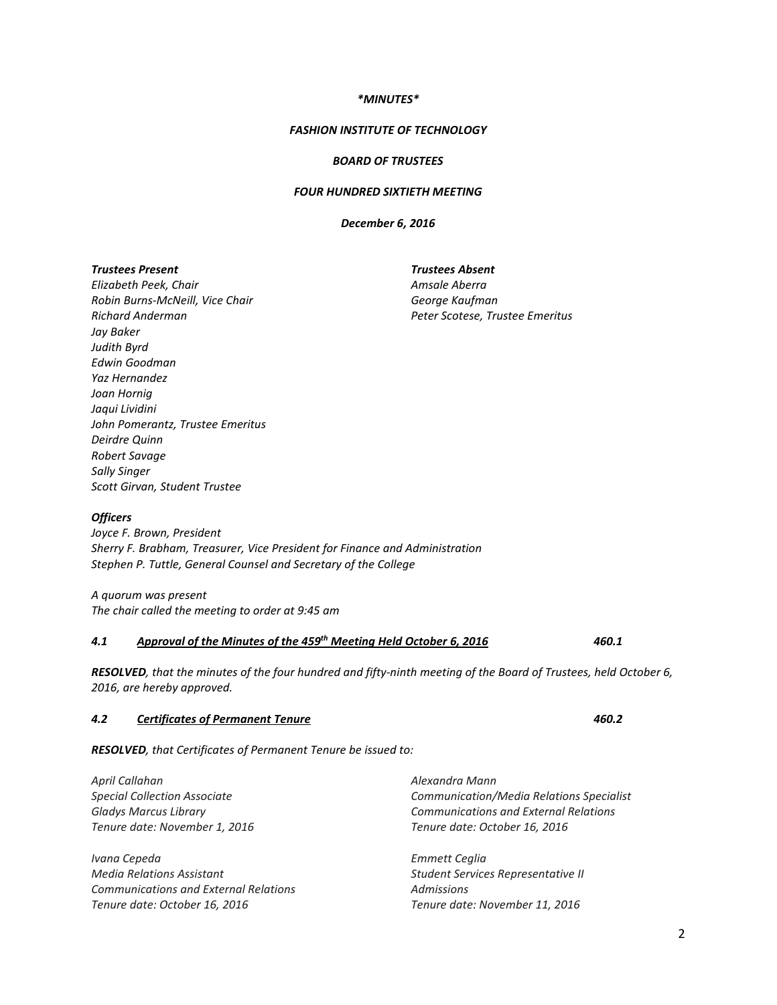#### *\*MINUTES\**

#### *FASHION INSTITUTE OF TECHNOLOGY*

### *BOARD OF TRUSTEES*

## *FOUR HUNDRED SIXTIETH MEETING*

*December 6, 2016*

*Trustees Present Elizabeth Peek, Chair Robin Burns-McNeill, Vice Chair Richard Anderman Jay Baker Judith Byrd Edwin Goodman Yaz Hernandez Joan Hornig Jaqui Lividini John Pomerantz, Trustee Emeritus Deirdre Quinn Robert Savage Sally Singer Scott Girvan, Student Trustee*

*Trustees Absent Amsale Aberra George Kaufman Peter Scotese, Trustee Emeritus*

#### *Officers*

*Joyce F. Brown, President Sherry F. Brabham, Treasurer, Vice President for Finance and Administration Stephen P. Tuttle, General Counsel and Secretary of the College* 

*A quorum was present The chair called the meeting to order at 9:45 am*

## *4.1 Approval of the Minutes of the 459th Meeting Held October 6, 2016 460.1*

*RESOLVED, that the minutes of the four hundred and fifty-ninth meeting of the Board of Trustees, held October 6, 2016, are hereby approved.*

# *4.2 Certificates of Permanent Tenure 460.2*

*RESOLVED, that Certificates of Permanent Tenure be issued to:*

| April Callahan                               | Alexandra Mann                               |
|----------------------------------------------|----------------------------------------------|
| <b>Special Collection Associate</b>          | Communication/Media Relations Specialist     |
| <b>Gladys Marcus Library</b>                 | <b>Communications and External Relations</b> |
| Tenure date: November 1, 2016                | Tenure date: October 16, 2016                |
|                                              |                                              |
| Ivana Cepeda                                 | Emmett Ceglia                                |
| <b>Media Relations Assistant</b>             | Student Services Representative II           |
| <b>Communications and External Relations</b> | Admissions                                   |
| Tenure date: October 16, 2016                | Tenure date: November 11, 2016               |
|                                              |                                              |